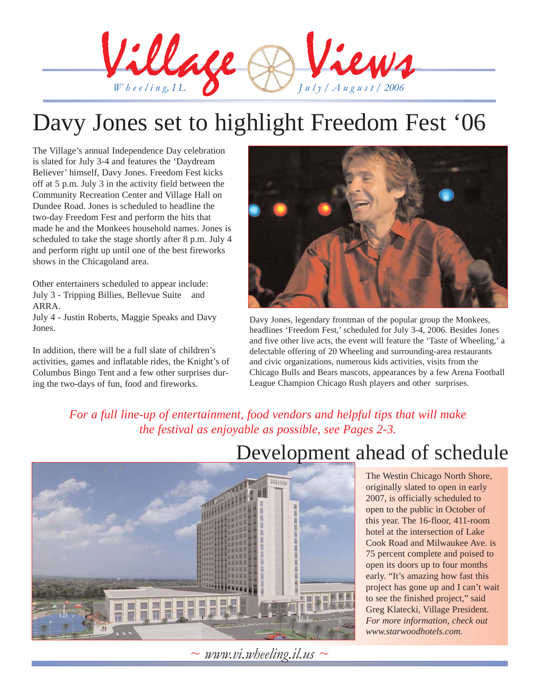

## Davy Jones set to highlight Freedom Fest '06

The Village's annual Independence Day celebration is slated for July 3-4 and features the 'Daydream Believer' himself, Davy Jones. Freedom Fest kicks off at 5 p.m. July 3 in the activity field between the Community Recreation Center and Village Hall on Dundee Road. Jones is scheduled to headline the two-day Freedom Fest and perform the hits that made he and the Monkees household names. Jones is scheduled to take the stage shortly after 8 p.m. July 4 and perform right up until one of the best fireworks shows in the Chicagoland area.

Other entertainers scheduled to appear include: July 3 - Tripping Billies, Bellevue Suite and ARRA.

July 4 - Justin Roberts, Maggie Speaks and Davy Jones.

In addition, there will be a full slate of children's activities, games and inflatable rides, the Knight's of Columbus Bingo Tent and a few other surprises during the two-days of fun, food and fireworks.



Davy Jones, legendary frontman of the popular group the Monkees, headlines 'Freedom Fest,' scheduled for July 3-4, 2006. Besides Jones and five other live acts, the event will feature the 'Taste of Wheeling,' a delectable offering of 20 Wheeling and surrounding-area restaurants and civic organizations, numerous kids activities, visits from the Chicago Bulls and Bears mascots, appearances by a few Arena Football League Champion Chicago Rush players and other surprises.

*For a full line-up of entertainment, food vendors and helpful tips that will make the festival as enjoyable as possible, see Pages 2-3.*



The Westin Chicago North Shore, originally slated to open in early 2007, is officially scheduled to open to the public in October of this year. The 16-floor, 411-room hotel at the intersection of Lake Cook Road and Milwaukee Ave. is 75 percent complete and poised to open its doors up to four months early. "It's amazing how fast this project has gone up and I can't wait to see the finished project," said Greg Klatecki, Village President. *For more information, check out www.starwoodhotels.com.*



 $\sim$  *www.vi.wheeling.il.us*  $\sim$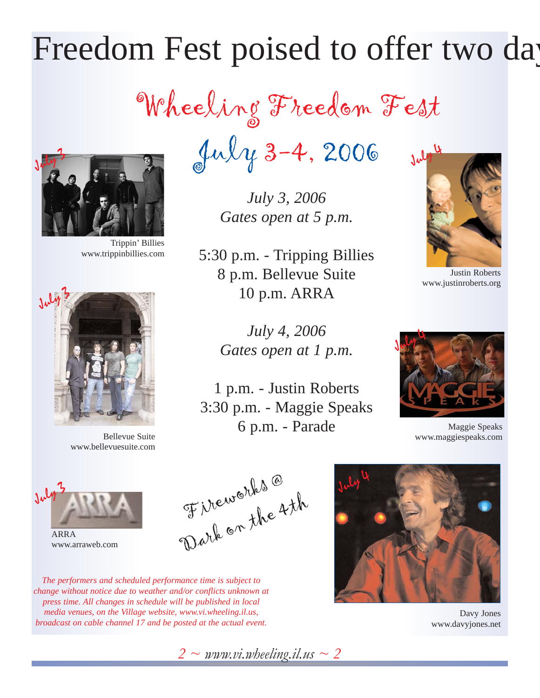# Freedom Fest poised to offer two day

Wheeling Freedom Fest



Trippin' Billies www.trippinbillies.com



Bellevue Suite www.bellevuesuite.com

 $July 3-4, 2006$ 

*July 3, 2006 Gates open at 5 p.m.*

5:30 p.m. - Tripping Billies 8 p.m. Bellevue Suite 10 p.m. ARRA

> *July 4, 2006 Gates open at 1 p.m.*

1 p.m. - Justin Roberts 3:30 p.m. - Maggie Speaks 6 p.m. - Parade



Justin Roberts www.justinroberts.org



Maggie Speaks www.maggiespeaks.com



ARRA www.arraweb.com



*The performers and scheduled performance time is subject to change without notice due to weather and/or conflicts unknown at press time. All changes in schedule will be published in local media venues, on the Village website, www.vi.wheeling.il.us, broadcast on cable channel 17 and be posted at the actual event.* 



Davy Jones www.davyjones.net

*2 ~ www.vi.wheeling.il.us ~ 2*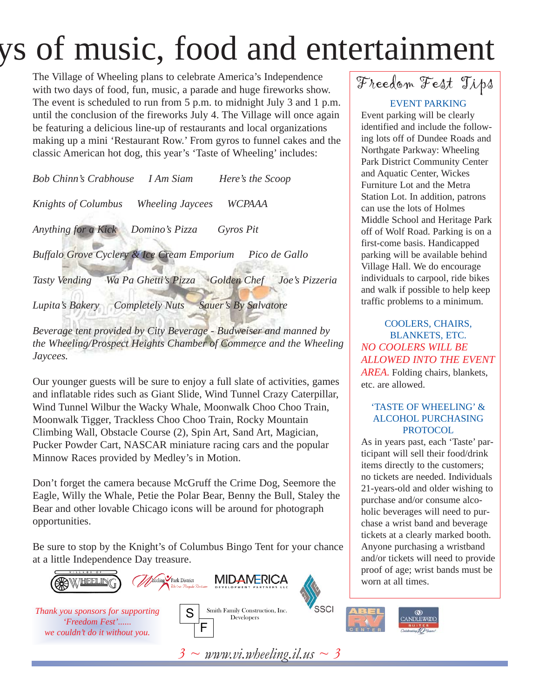# ys of music, food and entertainment

The Village of Wheeling plans to celebrate America's Independence with two days of food, fun, music, a parade and huge fireworks show. The event is scheduled to run from 5 p.m. to midnight July 3 and 1 p.m. until the conclusion of the fireworks July 4. The Village will once again be featuring a delicious line-up of restaurants and local organizations making up a mini 'Restaurant Row.' From gyros to funnel cakes and the classic American hot dog, this year's 'Taste of Wheeling' includes:

*Bob Chinn's Crabhouse I Am Siam Here's the Scoop Knights of Columbus Wheeling Jaycees WCPAAA Anything for a Kick Domino's Pizza Gyros Pit Buffalo Grove Cyclery & Ice Cream Emporium Pico de Gallo Tasty Vending Wa Pa Ghetti's Pizza Golden Chef Joe's Pizzeria Lupita's Bakery Completely Nuts Sauer's By Salvatore*

*Beverage tent provided by City Beverage - Budweiser and manned by the Wheeling/Prospect Heights Chamber of Commerce and the Wheeling Jaycees.*

Our younger guests will be sure to enjoy a full slate of activities, games and inflatable rides such as Giant Slide, Wind Tunnel Crazy Caterpillar, Wind Tunnel Wilbur the Wacky Whale, Moonwalk Choo Choo Train, Moonwalk Tigger, Trackless Choo Choo Train, Rocky Mountain Climbing Wall, Obstacle Course (2), Spin Art, Sand Art, Magician, Pucker Powder Cart, NASCAR miniature racing cars and the popular Minnow Races provided by Medley's in Motion.

Don't forget the camera because McGruff the Crime Dog, Seemore the Eagle, Willy the Whale, Petie the Polar Bear, Benny the Bull, Staley the Bear and other lovable Chicago icons will be around for photograph opportunities.

Be sure to stop by the Knight's of Columbus Bingo Tent for your chance at a little Independence Day treasure.















Freedom Fest Tips

### EVENT PARKING

Event parking will be clearly identified and include the following lots off of Dundee Roads and Northgate Parkway: Wheeling Park District Community Center and Aquatic Center, Wickes Furniture Lot and the Metra Station Lot. In addition, patrons can use the lots of Holmes Middle School and Heritage Park off of Wolf Road. Parking is on a first-come basis. Handicapped parking will be available behind Village Hall. We do encourage individuals to carpool, ride bikes and walk if possible to help keep traffic problems to a minimum.

COOLERS, CHAIRS, BLANKETS, ETC. *NO COOLERS WILL BE ALLOWED INTO THE EVENT AREA.* Folding chairs, blankets, etc. are allowed.

### 'TASTE OF WHEELING' & ALCOHOL PURCHASING PROTOCOL

As in years past, each 'Taste' participant will sell their food/drink items directly to the customers; no tickets are needed. Individuals 21-years-old and older wishing to purchase and/or consume alcoholic beverages will need to purchase a wrist band and beverage tickets at a clearly marked booth. Anyone purchasing a wristband and/or tickets will need to provide proof of age; wrist bands must be worn at all times.

*3 ~ www.vi.wheeling.il.us ~ 3*

**MIDAMERICA**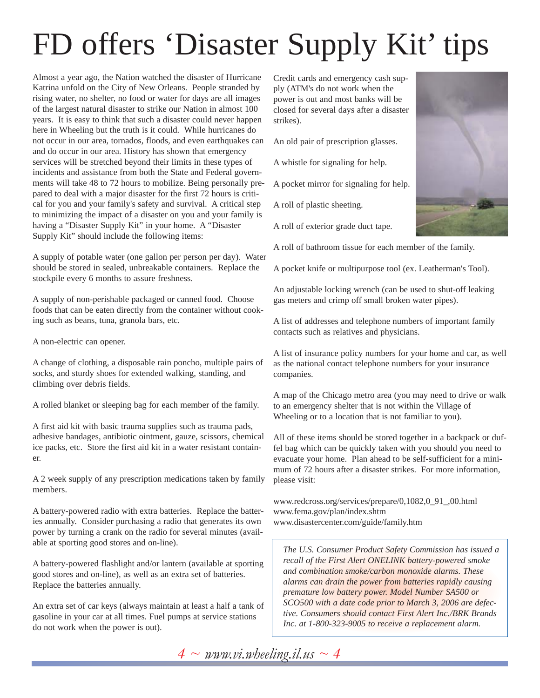# FD offers 'Disaster Supply Kit' tips

Almost a year ago, the Nation watched the disaster of Hurricane Katrina unfold on the City of New Orleans. People stranded by rising water, no shelter, no food or water for days are all images of the largest natural disaster to strike our Nation in almost 100 years. It is easy to think that such a disaster could never happen here in Wheeling but the truth is it could. While hurricanes do not occur in our area, tornados, floods, and even earthquakes can and do occur in our area. History has shown that emergency services will be stretched beyond their limits in these types of incidents and assistance from both the State and Federal governments will take 48 to 72 hours to mobilize. Being personally prepared to deal with a major disaster for the first 72 hours is critical for you and your family's safety and survival. A critical step to minimizing the impact of a disaster on you and your family is having a "Disaster Supply Kit" in your home. A "Disaster Supply Kit" should include the following items:

A supply of potable water (one gallon per person per day). Water should be stored in sealed, unbreakable containers. Replace the stockpile every 6 months to assure freshness.

A supply of non-perishable packaged or canned food. Choose foods that can be eaten directly from the container without cooking such as beans, tuna, granola bars, etc.

A non-electric can opener.

A change of clothing, a disposable rain poncho, multiple pairs of socks, and sturdy shoes for extended walking, standing, and climbing over debris fields.

A rolled blanket or sleeping bag for each member of the family.

A first aid kit with basic trauma supplies such as trauma pads, adhesive bandages, antibiotic ointment, gauze, scissors, chemical ice packs, etc. Store the first aid kit in a water resistant container.

A 2 week supply of any prescription medications taken by family members.

A battery-powered radio with extra batteries. Replace the batteries annually. Consider purchasing a radio that generates its own power by turning a crank on the radio for several minutes (available at sporting good stores and on-line).

A battery-powered flashlight and/or lantern (available at sporting good stores and on-line), as well as an extra set of batteries. Replace the batteries annually.

An extra set of car keys (always maintain at least a half a tank of gasoline in your car at all times. Fuel pumps at service stations do not work when the power is out).

Credit cards and emergency cash supply (ATM's do not work when the power is out and most banks will be closed for several days after a disaster strikes).

An old pair of prescription glasses.

A whistle for signaling for help.

A pocket mirror for signaling for help.

A roll of plastic sheeting.

A roll of exterior grade duct tape.



A roll of bathroom tissue for each member of the family.

A pocket knife or multipurpose tool (ex. Leatherman's Tool).

An adjustable locking wrench (can be used to shut-off leaking gas meters and crimp off small broken water pipes).

A list of addresses and telephone numbers of important family contacts such as relatives and physicians.

A list of insurance policy numbers for your home and car, as well as the national contact telephone numbers for your insurance companies.

A map of the Chicago metro area (you may need to drive or walk to an emergency shelter that is not within the Village of Wheeling or to a location that is not familiar to you).

All of these items should be stored together in a backpack or duffel bag which can be quickly taken with you should you need to evacuate your home. Plan ahead to be self-sufficient for a minimum of 72 hours after a disaster strikes. For more information, please visit:

www.redcross.org/services/prepare/0,1082,0\_91\_,00.html www.fema.gov/plan/index.shtm www.disastercenter.com/guide/family.htm

*The U.S. Consumer Product Safety Commission has issued a recall of the First Alert ONELINK battery-powered smoke and combination smoke/carbon monoxide alarms. These alarms can drain the power from batteries rapidly causing premature low battery power. Model Number SA500 or SCO500 with a date code prior to March 3, 2006 are defective. Consumers should contact First Alert Inc./BRK Brands Inc. at 1-800-323-9005 to receive a replacement alarm.*

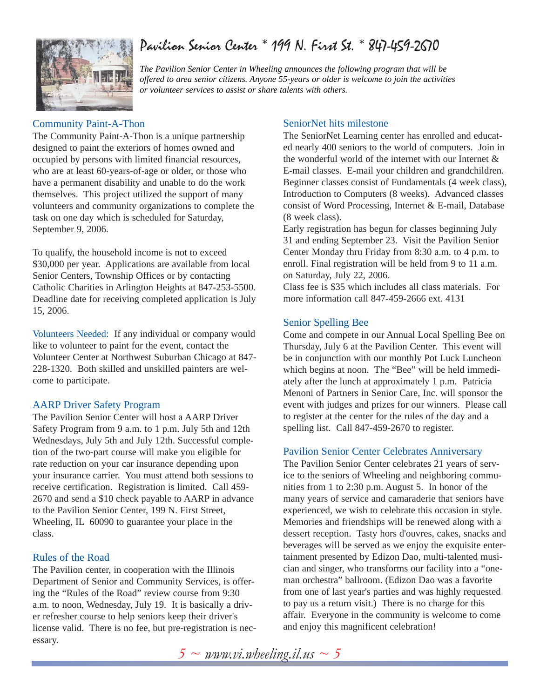## Pavilion Senior Center \* 199 N. First St. \* 847-459-2670



*The Pavilion Senior Center in Wheeling announces the following program that will be offered to area senior citizens. Anyone 55-years or older is welcome to join the activities or volunteer services to assist or share talents with others.*

## Community Paint-A-Thon

The Community Paint-A-Thon is a unique partnership designed to paint the exteriors of homes owned and occupied by persons with limited financial resources, who are at least 60-years-of-age or older, or those who have a permanent disability and unable to do the work themselves. This project utilized the support of many volunteers and community organizations to complete the task on one day which is scheduled for Saturday, September 9, 2006.

To qualify, the household income is not to exceed \$30,000 per year. Applications are available from local Senior Centers, Township Offices or by contacting Catholic Charities in Arlington Heights at 847-253-5500. Deadline date for receiving completed application is July 15, 2006.

Volunteers Needed: If any individual or company would like to volunteer to paint for the event, contact the Volunteer Center at Northwest Suburban Chicago at 847- 228-1320. Both skilled and unskilled painters are welcome to participate.

### AARP Driver Safety Program

The Pavilion Senior Center will host a AARP Driver Safety Program from 9 a.m. to 1 p.m. July 5th and 12th Wednesdays, July 5th and July 12th. Successful completion of the two-part course will make you eligible for rate reduction on your car insurance depending upon your insurance carrier. You must attend both sessions to receive certification. Registration is limited. Call 459- 2670 and send a \$10 check payable to AARP in advance to the Pavilion Senior Center, 199 N. First Street, Wheeling, IL 60090 to guarantee your place in the class.

## Rules of the Road

The Pavilion center, in cooperation with the Illinois Department of Senior and Community Services, is offering the "Rules of the Road" review course from 9:30 a.m. to noon, Wednesday, July 19. It is basically a driver refresher course to help seniors keep their driver's license valid. There is no fee, but pre-registration is necessary.

### SeniorNet hits milestone

The SeniorNet Learning center has enrolled and educated nearly 400 seniors to the world of computers. Join in the wonderful world of the internet with our Internet & E-mail classes. E-mail your children and grandchildren. Beginner classes consist of Fundamentals (4 week class), Introduction to Computers (8 weeks). Advanced classes consist of Word Processing, Internet & E-mail, Database (8 week class).

Early registration has begun for classes beginning July 31 and ending September 23. Visit the Pavilion Senior Center Monday thru Friday from 8:30 a.m. to 4 p.m. to enroll. Final registration will be held from 9 to 11 a.m. on Saturday, July 22, 2006.

Class fee is \$35 which includes all class materials. For more information call 847-459-2666 ext. 4131

### Senior Spelling Bee

Come and compete in our Annual Local Spelling Bee on Thursday, July 6 at the Pavilion Center. This event will be in conjunction with our monthly Pot Luck Luncheon which begins at noon. The "Bee" will be held immediately after the lunch at approximately 1 p.m. Patricia Menoni of Partners in Senior Care, Inc. will sponsor the event with judges and prizes for our winners. Please call to register at the center for the rules of the day and a spelling list. Call 847-459-2670 to register.

### Pavilion Senior Center Celebrates Anniversary

The Pavilion Senior Center celebrates 21 years of service to the seniors of Wheeling and neighboring communities from 1 to 2:30 p.m. August 5. In honor of the many years of service and camaraderie that seniors have experienced, we wish to celebrate this occasion in style. Memories and friendships will be renewed along with a dessert reception. Tasty hors d'ouvres, cakes, snacks and beverages will be served as we enjoy the exquisite entertainment presented by Edizon Dao, multi-talented musician and singer, who transforms our facility into a "oneman orchestra" ballroom. (Edizon Dao was a favorite from one of last year's parties and was highly requested to pay us a return visit.) There is no charge for this affair. Everyone in the community is welcome to come and enjoy this magnificent celebration!

*5 ~ www.vi.wheeling.il.us ~ 5*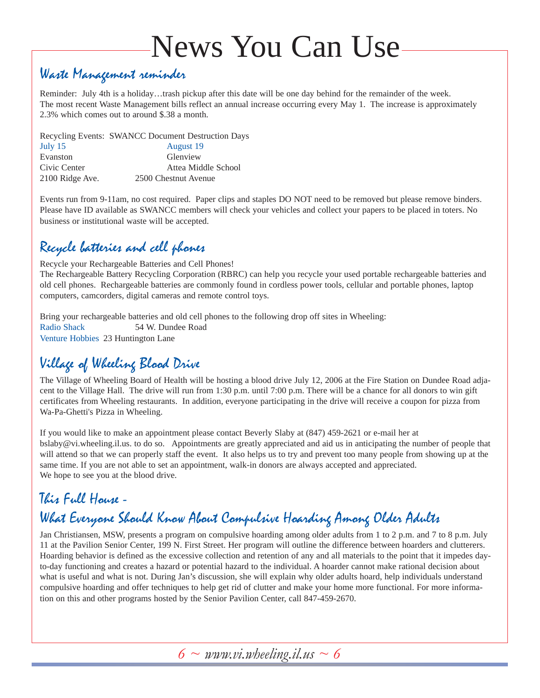# News You Can Use

## Waste Management reminder

Reminder: July 4th is a holiday…trash pickup after this date will be one day behind for the remainder of the week. The most recent Waste Management bills reflect an annual increase occurring every May 1. The increase is approximately 2.3% which comes out to around \$.38 a month.

Recycling Events: SWANCC Document Destruction Days

| July $15$       | August 19            |
|-----------------|----------------------|
| Evanston        | Glenview             |
| Civic Center    | Attea Middle School  |
| 2100 Ridge Ave. | 2500 Chestnut Avenue |

Events run from 9-11am, no cost required. Paper clips and staples DO NOT need to be removed but please remove binders. Please have ID available as SWANCC members will check your vehicles and collect your papers to be placed in toters. No business or institutional waste will be accepted.

## Recycle batteries and cell phones

Recycle your Rechargeable Batteries and Cell Phones! The Rechargeable Battery Recycling Corporation (RBRC) can help you recycle your used portable rechargeable batteries and old cell phones. Rechargeable batteries are commonly found in cordless power tools, cellular and portable phones, laptop computers, camcorders, digital cameras and remote control toys.

Bring your rechargeable batteries and old cell phones to the following drop off sites in Wheeling: Radio Shack 54 W. Dundee Road Venture Hobbies 23 Huntington Lane

## Village of Wheeling Blood Drive

The Village of Wheeling Board of Health will be hosting a blood drive July 12, 2006 at the Fire Station on Dundee Road adjacent to the Village Hall. The drive will run from 1:30 p.m. until 7:00 p.m. There will be a chance for all donors to win gift certificates from Wheeling restaurants. In addition, everyone participating in the drive will receive a coupon for pizza from Wa-Pa-Ghetti's Pizza in Wheeling.

If you would like to make an appointment please contact Beverly Slaby at (847) 459-2621 or e-mail her at bslaby@vi.wheeling.il.us. to do so. Appointments are greatly appreciated and aid us in anticipating the number of people that will attend so that we can properly staff the event. It also helps us to try and prevent too many people from showing up at the same time. If you are not able to set an appointment, walk-in donors are always accepted and appreciated. We hope to see you at the blood drive.

## This Full House - What Everyone Should Know About Compulsive Hoarding Among Older Adults

Jan Christiansen, MSW, presents a program on compulsive hoarding among older adults from 1 to 2 p.m. and 7 to 8 p.m. July 11 at the Pavilion Senior Center, 199 N. First Street. Her program will outline the difference between hoarders and clutterers. Hoarding behavior is defined as the excessive collection and retention of any and all materials to the point that it impedes dayto-day functioning and creates a hazard or potential hazard to the individual. A hoarder cannot make rational decision about what is useful and what is not. During Jan's discussion, she will explain why older adults hoard, help individuals understand compulsive hoarding and offer techniques to help get rid of clutter and make your home more functional. For more information on this and other programs hosted by the Senior Pavilion Center, call 847-459-2670.

*6 ~ www.vi.wheeling.il.us ~ 6*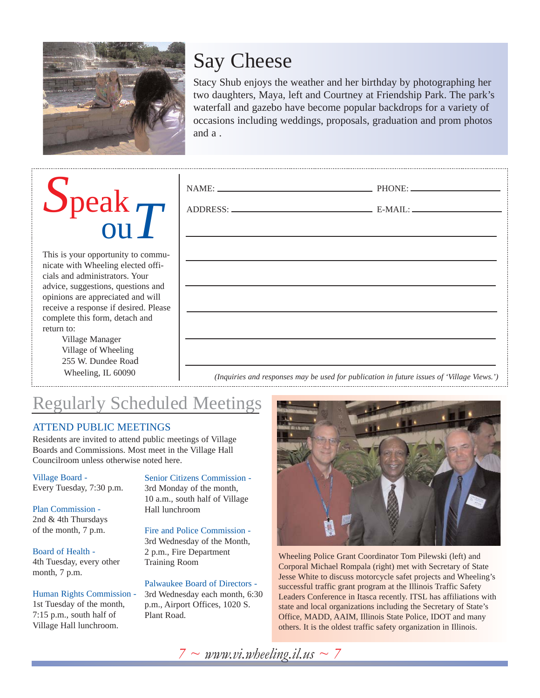

## Say Cheese

Stacy Shub enjoys the weather and her birthday by photographing her two daughters, Maya, left and Courtney at Friendship Park. The park's waterfall and gazebo have become popular backdrops for a variety of occasions including weddings, proposals, graduation and prom photos and a .

# *S*peak ou*T*

This is your opportunity to communicate with Wheeling elected officials and administrators. Your advice, suggestions, questions and opinions are appreciated and will receive a response if desired. Please complete this form, detach and return to:

> Village Manager Village of Wheeling 255 W. Dundee Road Wheeling, IL 60090

*(Inquiries and responses may be used for publication in future issues of 'Village Views.')*

## Regularly Scheduled Meetings

## ATTEND PUBLIC MEETINGS

Residents are invited to attend public meetings of Village Boards and Commissions. Most meet in the Village Hall Councilroom unless otherwise noted here.

Village Board - Every Tuesday, 7:30 p.m.

Plan Commission - 2nd & 4th Thursdays of the month, 7 p.m.

#### Board of Health - 4th Tuesday, every other month, 7 p.m.

Human Rights Commission - 1st Tuesday of the month, 7:15 p.m., south half of Village Hall lunchroom.

Senior Citizens Commission - 3rd Monday of the month, 10 a.m., south half of Village Hall lunchroom

Fire and Police Commission - 3rd Wednesday of the Month, 2 p.m., Fire Department Training Room

#### Palwaukee Board of Directors -

3rd Wednesday each month, 6:30 p.m., Airport Offices, 1020 S. Plant Road.



Wheeling Police Grant Coordinator Tom Pilewski (left) and Corporal Michael Rompala (right) met with Secretary of State Jesse White to discuss motorcycle safet projects and Wheeling's successful traffic grant program at the Illinois Traffic Safety Leaders Conference in Itasca recently. ITSL has affiliations with state and local organizations including the Secretary of State's Office, MADD, AAIM, Illinois State Police, IDOT and many others. It is the oldest traffic safety organization in Illinois.

*7 ~ www.vi.wheeling.il.us ~ 7*